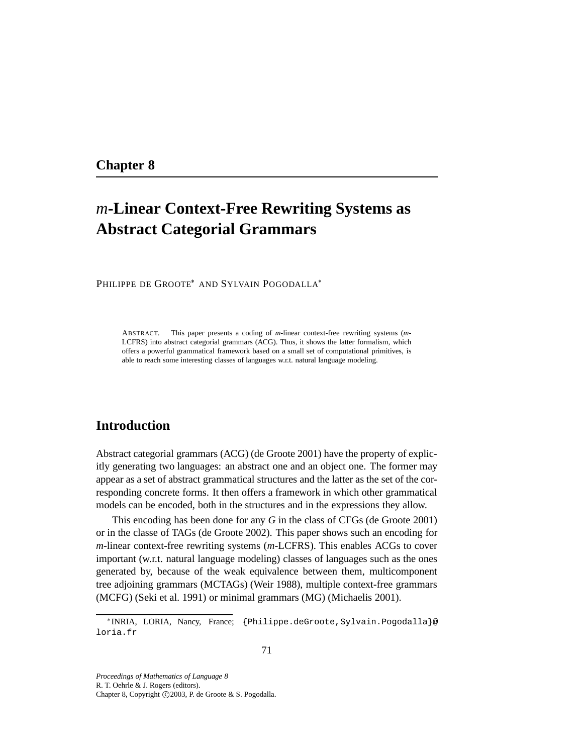# **Chapter 8**

# *m***-Linear Context-Free Rewriting Systems as Abstract Categorial Grammars**

PHILIPPE DE GROOTE\* AND SYLVAIN POGODALLA\*

ABSTRACT. This paper presents a coding of *m*-linear context-free rewriting systems (*m*-LCFRS) into abstract categorial grammars (ACG). Thus, it shows the latter formalism, which offers a powerful grammatical framework based on a small set of computational primitives, is able to reach some interesting classes of languages w.r.t. natural language modeling.

# **Introduction**

Abstract categorial grammars (ACG) (de Groote 2001) have the property of explicitly generating two languages: an abstract one and an object one. The former may appear as a set of abstract grammatical structures and the latter as the set of the corresponding concrete forms. It then offers a framework in which other grammatical models can be encoded, both in the structures and in the expressions they allow.

This encoding has been done for any *G* in the class of CFGs (de Groote 2001) or in the classe of TAGs (de Groote 2002). This paper shows such an encoding for *m*-linear context-free rewriting systems (*m*-LCFRS). This enables ACGs to cover important (w.r.t. natural language modeling) classes of languages such as the ones generated by, because of the weak equivalence between them, multicomponent tree adjoining grammars (MCTAGs) (Weir 1988), multiple context-free grammars (MCFG) (Seki et al. 1991) or minimal grammars (MG) (Michaelis 2001).

*Proceedings of Mathematics of Language 8* R. T. Oehrle & J. Rogers (editors). Chapter 8, Copyright ©2003, P. de Groote & S. Pogodalla.

<sup>\*</sup>INRIA, LORIA, Nancy, France; {Philippe.deGroote,Sylvain.Pogodalla}@ loria.fr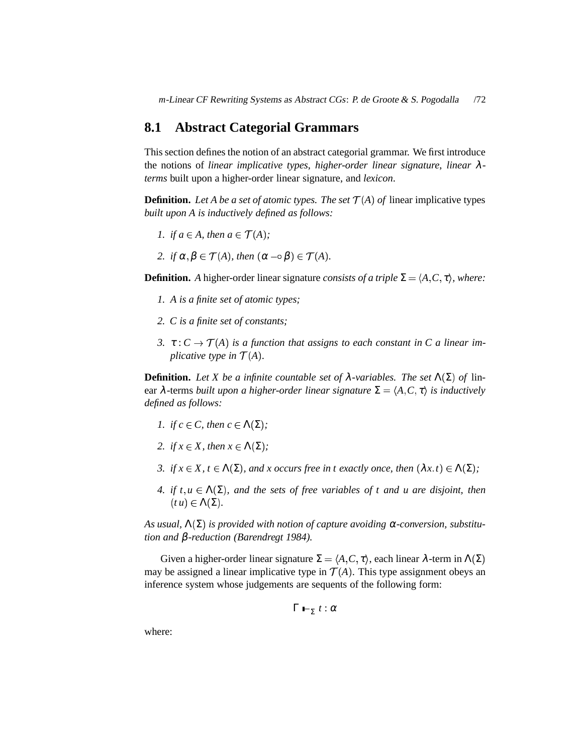*m*-Linear CF Rewriting Systems as Abstract CGs: P. de Groote & S. Pogodalla /72

## **8.1 Abstract Categorial Grammars**

This section defines the notion of an abstract categorial grammar. We first introduce the notions of *linear implicative types*, *higher-order linear signature*, *linear* λ*terms* built upon a higher-order linear signature, and *lexicon*.

**Definition.** Let A be a set of atomic types. The set  $\mathcal{T}(A)$  of linear implicative types *built upon A is inductively defined as follows:*

- *1. if*  $a \in A$ *, then*  $a \in \mathcal{T}(A)$ *;*
- 2. *if*  $\alpha, \beta \in \mathcal{T}(A)$ , then  $(\alpha \beta) \in \mathcal{T}(A)$ .

**Definition.** *A* higher-order linear signature *consists of a triple*  $\Sigma = \langle A, C, \tau \rangle$ , *where:* 

- *1. A is a finite set of atomic types;*
- *2. C is a finite set of constants;*
- *3.*  $\tau: C \rightarrow \mathcal{T}(A)$  *is a function that assigns to each constant in C a linear implicative type in*  $\mathcal{T}(A)$ *.*

**Definition.** Let *X* be a *infinite* countable set of  $\lambda$ -variables. The set  $\Lambda(\Sigma)$  of linear  $\lambda$ -terms *built upon a higher-order linear signature*  $\Sigma = \langle A, C, \tau \rangle$  *is inductively defined as follows:*

- *1. if*  $c \in C$ *, then*  $c \in \Lambda(\Sigma)$ *;*
- *2. if*  $x \in X$ *, then*  $x \in \Lambda(\Sigma)$ *;*
- *3. if*  $x \in X$ ,  $t \in \Lambda(\Sigma)$ , and  $x$  occurs free in  $t$  exactly once, then  $(\lambda x. t) \in \Lambda(\Sigma)$ ;
- *4. if*  $t, u \in \Lambda(\Sigma)$ , and the sets of free variables of t and u are disjoint, then  $(t u) \in \Lambda(\Sigma)$ .

 $\Delta$ *s usual,*  $\Lambda(\Sigma)$  *is provided with notion of capture avoiding*  $\alpha$ -conversion, *substitution and* β*-reduction (Barendregt 1984).*

Given a higher-order linear signature  $\Sigma = \langle A, C, \tau \rangle$ , each linear  $\lambda$ -term in  $\Lambda(\Sigma)$ may be assigned a linear implicative type in  $\mathcal{T}(A)$ . This type assignment obeys an inference system whose judgements are sequents of the following form:

$$
\Gamma \vdash_{\Sigma} t : \alpha
$$

where: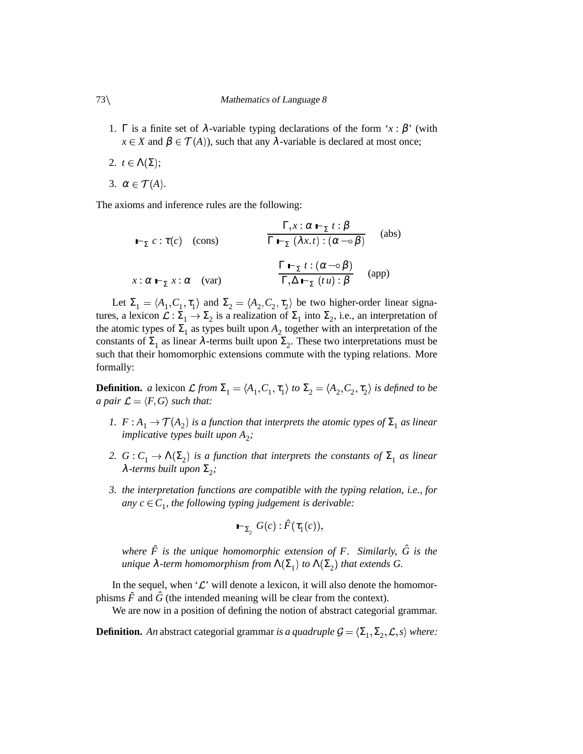- 1. Γ is a finite set of  $\lambda$ -variable typing declarations of the form '*x* :  $\beta$ ' (with  $x \in X$  and  $\beta \in \mathcal{T}(A)$ ), such that any  $\lambda$ -variable is declared at most once;
- 2.  $t \in \Lambda(\Sigma)$ ;
- 3.  $\alpha \in \mathcal{T}(A)$ .

The axioms and inference rules are the following:

$$
\mathbf{F}_{\Sigma} c : \tau(c) \quad \text{(cons)} \qquad \qquad \frac{\Gamma, x : \alpha \mathbf{F}_{\Sigma} t : \beta}{\Gamma \mathbf{F}_{\Sigma} (\lambda x. t) : (\alpha \neg \circ \beta)} \quad \text{(abs)}
$$
\n
$$
x : \alpha \mathbf{F}_{\Sigma} x : \alpha \quad \text{(var)} \qquad \qquad \frac{\Gamma \mathbf{F}_{\Sigma} t : (\alpha \neg \circ \beta)}{\Gamma, \Delta \mathbf{F}_{\Sigma} (t u) : \beta} \quad \text{(app)}
$$

Let  $\Sigma_1 = \langle A_1, C_1, \tau_1 \rangle$  and  $\Sigma_2 = \langle A_2, C_2, \tau_2 \rangle$  be two higher-order linear signatures, a lexicon  $\mathcal{L} : \Sigma_1 \to \Sigma_2$  is a realization of  $\Sigma_1$  into  $\Sigma_2$ , i.e., an interpretation of the atomic types of  $\Sigma_1$  as types built upon  $A_2$  together with an interpretation of the constants of  $\Sigma_1$  as linear  $\lambda$ -terms built upon  $\Sigma_2$ . These two interpretations must be such that their homomorphic extensions commute with the typing relations. More formally:

**Definition.** *a* lexicon  $\mathcal{L}$  from  $\Sigma_1 = \langle A_1, C_1, \tau_1 \rangle$  to  $\Sigma_2 = \langle A_2, C_2, \tau_2 \rangle$  is defined to be *a* pair  $\mathcal{L} = \langle F, G \rangle$  such that:

- *1.*  $F: A_1 \rightarrow \mathcal{T}(A_2)$  is a function that interprets the atomic types of  $\Sigma_1$  as linear *implicative types built upon*  $A_2$ ;
- *2.*  $G: C_1 \to \Lambda(\Sigma_2)$  is a function that interprets the constants of  $\Sigma_1$  as linear  $\lambda$ -terms built upon  $\Sigma_2$ ;
- *3. the interpretation functions are compatible with the typing relation, i.e., for any*  $c \in C_1$ , the following typing judgement is derivable:

$$
\vdash_{\Sigma_2} G(c): \hat{F}(\tau_1(c)),
$$

*where F*ˆ *is the unique homomorphic extension of F. Similarly, G*ˆ *is the unique*  $\lambda$ -term *homomorphism from*  $\Lambda(\Sigma_1)$  *to*  $\Lambda(\Sigma_2)$  *that extends G.* 

In the sequel, when ' $\mathcal{L}$ ' will denote a lexicon, it will also denote the homomorphisms  $\hat{F}$  and  $\hat{G}$  (the intended meaning will be clear from the context).

We are now in a position of defining the notion of abstract categorial grammar.

**Definition.** An abstract categorial grammar *is a quadruple*  $\mathcal{G} = \langle \Sigma_1, \Sigma_2, \mathcal{L}, s \rangle$  where: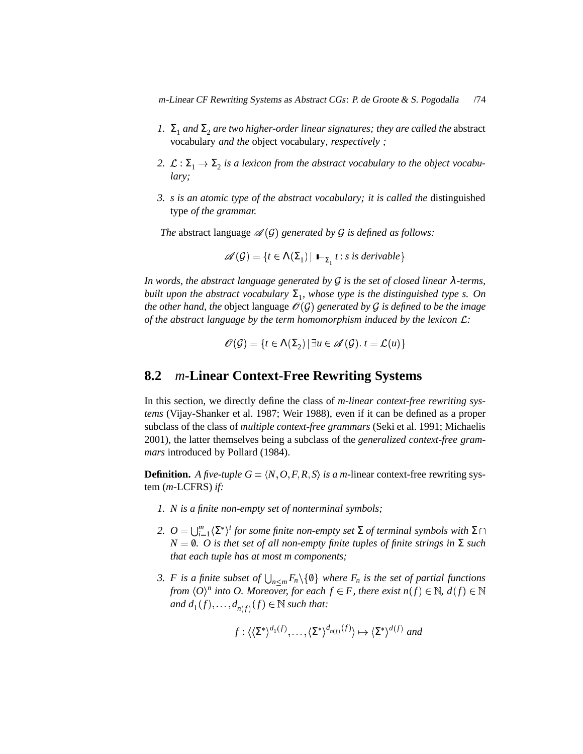*m*-Linear CF Rewriting Systems as Abstract CGs: P. de Groote & S. Pogodalla /74

- *1.*  $\Sigma_1$  and  $\Sigma_2$  are two higher-order linear signatures; they are called the abstract vocabulary *and the* object vocabulary*, respectively ;*
- 2.  $\mathcal{L}: \Sigma_1 \to \Sigma_2$  *is a lexicon from the abstract vocabulary to the object vocabulary;*
- *3. s is an atomic type of the abstract vocabulary; it is called the* distinguished type *of the grammar.*

*The* abstract language  $\mathscr{A}(G)$  generated by G is defined as follows:

$$
\mathscr{A}(\mathcal{G}) = \{ t \in \Lambda(\Sigma_1) \mid \vdash_{\Sigma_1} t : s \text{ is derivable} \}
$$

*In words, the abstract language generated by is the set of closed linear* λ*-terms,*  $b$ *uilt upon the abstract vocabulary*  $\Sigma_1$ *, whose type is the distinguished type s. On the other hand, the* object language  $\mathcal{O}(\mathcal{G})$  *generated by*  $\mathcal{G}$  *is defined to be the image of the abstract language by the term homomorphism induced by the lexicon :*

$$
\mathscr{O}(\mathcal{G}) = \{ t \in \Lambda(\Sigma_2) \, | \, \exists u \in \mathscr{A}(\mathcal{G}). t = \mathcal{L}(u) \}
$$

#### **8.2** *m***-Linear Context-Free Rewriting Systems**

In this section, we directly define the class of *m-linear context-free rewriting systems* (Vijay-Shanker et al. 1987; Weir 1988), even if it can be defined as a proper subclass of the class of *multiple context-free grammars* (Seki et al. 1991; Michaelis 2001), the latter themselves being a subclass of the *generalized context-free grammars* introduced by Pollard (1984).

**Definition.** A *five-tuple*  $G = \langle N, O, F, R, S \rangle$  *is a m*-linear context-free rewriting system (*m*-LCFRS) *if:*

- *1. N is a finite non-empty set of nonterminal symbols;*
- *2.*  $O = \bigcup_{i=1}^{m} \langle \Sigma^* \rangle^i$  for some finite non-empty set  $\Sigma$  of terminal symbols with  $\Sigma \cap$  $N = \emptyset$ *. O* is thet set of all non-empty finite tuples of finite strings in  $\Sigma$  such *that each tuple has at most m components;*
- *3. F is a finite subset of*  $\bigcup_{n \le m} F_n \setminus \{0\}$  *where F<sub>n</sub> is the set of partial functions from*  $\langle O \rangle^n$  *into O. Moreover, for each*  $f \in F$ *, there exist*  $n(f) \in \mathbb{N}$ ,  $d(f) \in \mathbb{N}$ *and*  $d_1(f), \ldots, d_{n(f)}(f) \in \mathbb{N}$  *such that:*

$$
f: \langle \langle \Sigma^* \rangle^{d_1(f)}, \dots, \langle \Sigma^* \rangle^{d_{n(f)}(f)} \rangle \mapsto \langle \Sigma^* \rangle^{d(f)}
$$
 and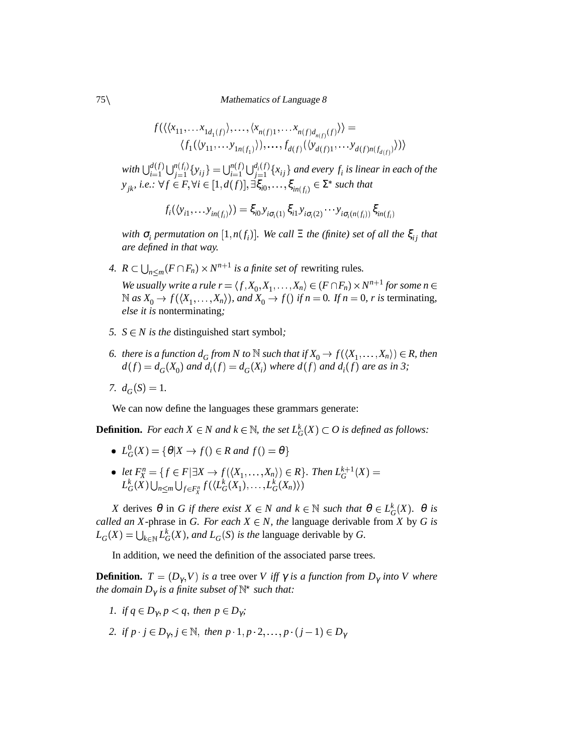75\\ Mathematics of Language 8

$$
f(\langle\langle x_{11},\ldots x_{1d_1(f)}\rangle,\ldots,\langle x_{n(f)1},\ldots x_{n(f)d_{n(f)}(f)}\rangle) = \langle f_1(\langle y_{11},\ldots y_{1n(f_1)}\rangle),\ldots,f_{d(f)}(\langle y_{d(f)1},\ldots y_{d(f)n(f_{d(f)})}\rangle)\rangle
$$

 $\cdots$ 

 $w$ *ith*  $\bigcup_{i=1}^{d(f)} \bigcup_{j=1}^{n(f_i)} \{y_{ij}\} = \bigcup_{i=1}^{n(f)} \bigcup_{j=1}^{d_i(f)} \{x_{ij}\}$  $\{x_i^{(f)}\{x_{ij}\}$  and every  $f_i$  is linear in each of the  $y_{jk}$ , *i.e.*:  $\forall f \in F, \forall i \in [1, d(f)], \exists \xi_{i0}, \ldots, \xi_{in(f_i)} \in \Sigma^*$  such that

$$
f_i(\langle y_{i1}, \ldots y_{in(f_i)} \rangle) = \xi_{i0} y_{i\sigma_i(1)} \xi_{i1} y_{i\sigma_i(2)} \cdots y_{i\sigma_i(n(f_i))} \xi_{in(f_i)}
$$

*with*  $\sigma$ <sub>*i*</sub> permutation on  $[1, n(f<sub>i</sub>)]$ . We call  $\Xi$  the (finite) set of all the  $\xi$ <sub>ij</sub> that *are defined in that way.*

*4.*  $R \subset \bigcup_{n \leq m} (F \cap F_n) \times N^{n+1}$  *is a finite set of rewriting rules.* 

*We* usually write a rule  $r = \langle f, X_0, X_1, \ldots, X_n \rangle \in (F \cap F_n) \times N^{n+1}$  for some  $n \in$  $\mathbb{N}$  as  $X_0 \to f(\langle X_1, \ldots, X_n \rangle)$ , and  $X_0 \to f(\mathcal{N})$  if  $n = 0$ . If  $n = 0$ , r is terminating, *else it is* nonterminating*;*

- *5.*  $S \in N$  *is the* distinguished start symbol;
- *6. there is a function*  $d_G$  *<i>from*  $N$  *to*  $\mathbb N$  *such that if*  $X_0 \to f(\langle X_1, \ldots, X_n \rangle) \in R$ *, then*  $d(f) = d_G(X_0)$  and  $d_i(f) = d_G(X_i)$  where  $d(f)$  and  $d_i(f)$  are as in 3;
- *7.*  $d_G(S) = 1$ .

We can now define the languages these grammars generate:

**Definition.** For each  $X \in N$  and  $k \in \mathbb{N}$ , the set  $L_G^k(X) \subset O$  is defined as follows:

- $L_G^0(X) = \{ \theta | X \rightarrow f(\)in R \text{ and } f(\) = \theta \}$
- *let*  $F_X^n = \{ f \in F | \exists X \to f(\langle X_1, \ldots, X_n \rangle) \in R \}$ . Then  $L_G^{k+1}(X) =$  $L_G^k(X) \bigcup_{n \leq m} \bigcup_{f \in F_X^n} f(\langle L_G^k(X_1), \ldots, L_G^k(X_n) \rangle)$

*X* derives  $\theta$  in *G if* there exist  $X \in N$  and  $k \in \mathbb{N}$  such that  $\theta \in L_G^k(X)$ .  $\theta$  *is called an X*-phrase in *G. For each*  $X \in N$ *, the* language derivable from *X* by *G is*  $L_G(X) = \bigcup_{k \in \mathbb{N}} L_G^k(X)$ , and  $L_G(S)$  is the language derivable by *G*.

In addition, we need the definition of the associated parse trees.

**Definition.**  $T = (D_{\gamma}, V)$  is a tree over *V iff*  $\gamma$  *is a function from*  $D_{\gamma}$  *into V where the domain*  $D_{\gamma}$  *is a finite subset of*  $\mathbb{N}^{\star}$  *such that:* 

- *1. if*  $q \in D_\gamma$ ,  $p < q$ , then  $p \in D_\gamma$ ;
- 2. *if*  $p \cdot j \in D_\gamma, j \in \mathbb{N}$ , then  $p \cdot 1, p \cdot 2, \ldots, p \cdot (j-1) \in D_\gamma$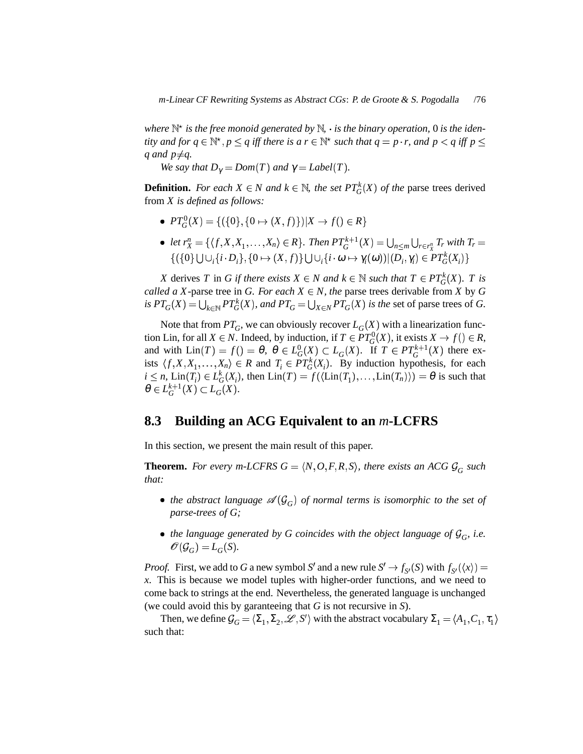$w$ here  $\mathbb{N}^*$  *is the free monoid generated by*  $\mathbb{N}$ *, · is the binary operation,* 0 *is the identity* and for  $q \in \mathbb{N}^{\star}$ ,  $p \leq q$  iff there is a  $r \in \mathbb{N}^{\star}$  such that  $q = p \cdot r$ , and  $p < q$  iff  $p \leq$ q and  $p \neq q$ .

*We say that*  $D_{\gamma} = Dom(T)$  *and*  $\gamma = Label(T)$ *.* 

**Definition.** For each  $X \in N$  and  $k \in \mathbb{N}$ , the set  $PT_G^k(X)$  of the parse trees derived from *X is defined as follows:*

- $PT_G^0(X) = \{ (\{0\}, \{0 \mapsto (X, f)\}) | X \to f() \in R \}$
- let  $r_X^n = \{ \langle f, X, X_1, \ldots, X_n \rangle \in R \}.$  Then  $PT_G^{k+1}(X) = \bigcup_{n \le m} \bigcup_{r \in r_X^n} T_r$  with  $T_r$  $\{(\{0\} \bigcup \bigcup_i \{i \cdot D_i\}, \{0 \mapsto (X, f)\} \bigcup \bigcup_i \{i \cdot \omega \mapsto \gamma_i(\omega)) | (D_i, \gamma_i) \in PT_G^k(X_i)\}$

*X* derives *T* in *G if there exists*  $X \in N$  *and*  $k \in \mathbb{N}$  *such that*  $T \in PT_G^k(X)$ . *T is called a X*-parse tree in *G. For each*  $X \in N$ *, the parse trees derivable from X* by *G* is  $PT_G(X) = \bigcup_{k \in \mathbb{N}} PT_G^k(X)$ , and  $PT_G = \bigcup_{X \in \mathbb{N}} PT_G(X)$  is the set of parse trees of G.

Note that from  $PT_G$ , we can obviously recover  $L_G(X)$  with a linearization function Lin, for all  $X \in N$ . Indeed, by induction, if  $T \in PT_G^0(X)$ , it exists  $X \to f() \in R$ , and with  $\text{Lin}(T) = f() = \theta$ ,  $\theta \in L_G^0(X) \subset L_G(X)$ . If  $T \in PT_G^{k+1}(X)$  there exists  $\langle f, X, X_1, \ldots, X_n \rangle \in R$  and  $T_i \in PT_G^k(X_i)$ . By induction hypothesis, for each  $i \leq n$ ,  $\text{Lin}(T_i) \in L_G^k(X_i)$ , then  $\text{Lin}(T) = f(\langle \text{Lin}(T_1), \dots, \text{Lin}(T_n) \rangle) = \theta$  is such that  $\theta \in L_G^{k+1}(X) \subset L_G(X)$ .

## **8.3 Building an ACG Equivalent to an** *m***-LCFRS**

In this section, we present the main result of this paper.

**Theorem.** For every m-LCFRS  $G = \langle N, O, F, R, S \rangle$ , there exists an ACG  $\mathcal{G}_G$  such *that:*

- $\bullet$  *the abstract language*  $\mathscr{A}(\mathcal{G}_G)$  *of normal terms is isomorphic to the set of parse-trees of G;*
- the language generated by G coincides with the object language of  $\mathcal{G}_G$ , i.e.  $\mathscr{O}(\mathcal{G}_G) = L_G(S).$

*Proof.* First, we add to *G* a new symbol *S'* and a new rule  $S' \to f_{S'}(S)$  with  $f_{S'}(\langle x \rangle) =$ *x*. This is because we model tuples with higher-order functions, and we need to come back to strings at the end. Nevertheless, the generated language is unchanged (we could avoid this by garanteeing that *G* is not recursive in *S*).

Then, we define  $\mathcal{G}_G = \langle \Sigma_1, \Sigma_2, \mathcal{L}, S' \rangle$  with the abstract vocabulary  $\Sigma_1 = \langle A_1, C_1, \tau_1 \rangle$ such that: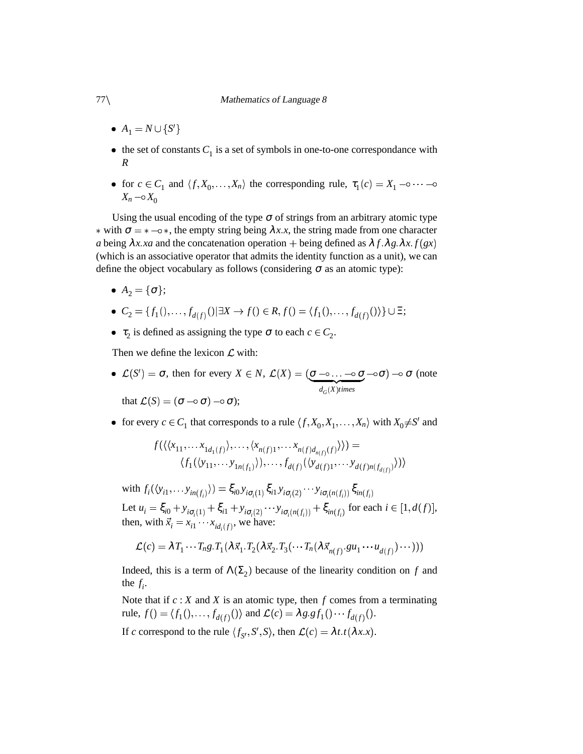- $A_1 = N \cup \{S'\}$
- $\bullet$  the set of constants  $C_1$  is a set of symbols in one-to-one correspondance with *R*
- for  $c \in C_1$  and  $\langle f, X_0, \ldots, X_n \rangle$  the corresponding rule,  $\tau_1(c) = X_1 \cdots -\circ$  $X_n - \circ X_0$

Using the usual encoding of the type  $\sigma$  of strings from an arbitrary atomic type \* with  $\sigma =$  \*  $-\circ$  \*, the empty string being  $\lambda x.x$ , the string made from one character *a* being  $\lambda x$  *xa* and the concatenation operation + being defined as  $\lambda f \cdot \lambda g \cdot \lambda x$  *f* (*gx*) (which is an associative operator that admits the identity function as a unit), we can define the object vocabulary as follows (considering  $\sigma$  as an atomic type):

- $A_2 = {\sigma};$
- $C_2 = \{f_1(), \ldots, f_{d(f)}() | \exists X \to f() \in R, f() = \langle f_1(), \ldots, f_{d(f)}() \rangle\} \cup \Xi;$
- $\tau_2$  is defined as assigning the type  $\sigma$  to each  $c \in C_2$ .

Then we define the lexicon  $\mathcal L$  with:

- $\mathcal{L}(S') = \sigma$ , then for every  $X \in N$ ,  $\mathcal{L}(X) = (\sigma \neg \circ \ldots \neg \circ \sigma \neg \circ \sigma) \neg \circ \sigma$  $\frac{-\circ}{d_G(X)$ *times*  $\sigma(\sigma)$   $\to \sigma$  (note that  $\mathcal{L}(S) = (\sigma \multimap \sigma) \multimap \sigma);$
- for every  $c \in C_1$  that corresponds to a rule  $\langle f, X_0, X_1, \ldots, X_n \rangle$  with  $X_0 \neq S'$  and

$$
f(\langle\langle x_{11},\ldots x_{1d_1(f)}\rangle,\ldots,\langle x_{n(f)1},\ldots x_{n(f)d_{n(f)}(f)}\rangle)\rangle) = \langle f_1(\langle y_{11},\ldots y_{1n(f_1)}\rangle),\ldots,f_{d(f)}(\langle y_{d(f)1},\ldots y_{d(f)n(f_{d(f)})}\rangle)\rangle
$$

with  $f_i(\langle y_{i1}, \ldots y_{in(f_i)} \rangle) = \xi_{i0} y_{i\sigma_i(1)} \xi_{i1} y_{i\sigma_i(2)} \cdots y_{i\sigma_i(n(f_i))} \xi_{in(f_i)}$ Let  $u_i = \xi_{i0} + y_{i\sigma_i(1)} + \xi_{i1} + y_{i\sigma_i(2)} \cdots y_{i\sigma_i(n(f_i))} + \xi_{in(f_i)}$  for each  $i \in [1, d(f)],$ then, with  $\vec{x}_i = x_{i1} \cdots x_{id_i(f)}$ , we have:

$$
\mathcal{L}(c) = \lambda T_1 \cdots T_n g \cdot T_1(\lambda \vec{x}_1 \cdot T_2(\lambda \vec{x}_2 \cdot T_3(\cdots T_n(\lambda \vec{x}_{n(f)} \cdot g u_1 \cdots u_{d(f)}) \cdots)))
$$

Indeed, this is a term of  $\Lambda(\Sigma_2)$  because of the linearity condition on *f* and the  $f_i$ .

Note that if *c* : *X* and *X* is an atomic type, then *f* comes from a terminating  ${\rm rule}, f() = \langle f_1(), \ldots, f_{d(f)}(') \rangle$  and  $\mathcal{L}(c) = \lambda g \cdot gf_1() \cdots f_{d(f)}().$ 

If *c* correspond to the rule  $\langle f_{S'}, S', S \rangle$ , then  $\mathcal{L}(c) = \lambda t \cdot t(\lambda x \cdot x)$ .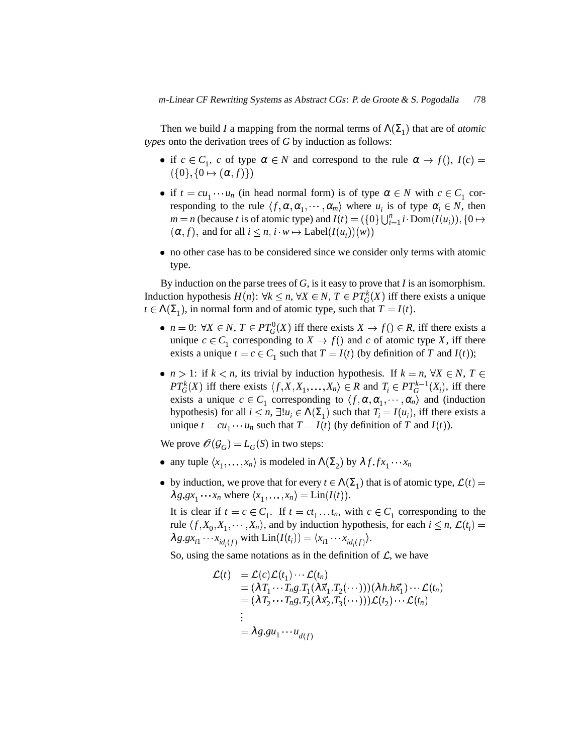Then we build *I* a mapping from the normal terms of  $\Lambda(\Sigma_1)$  that are of *atomic types* onto the derivation trees of *G* by induction as follows:

- if  $c \in C_1$ , *c* of type  $\alpha \in N$  and correspond to the rule  $\alpha \to f($ ,  $I(c)$  =  $(\{0\},\{0\mapsto (\boldsymbol{\alpha},f)\})$
- if  $t = cu_1 \cdots u_n$  (in head normal form) is of type  $\alpha \in N$  with  $c \in C_1$  corresponding to the rule  $\langle f, \alpha, \alpha_1, \cdots, \alpha_m \rangle$  where  $u_i$  is of type  $\alpha_i \in N$ , then  $m = n$  (because *t* is of atomic type) and  $I(t) = (\{0\} \bigcup_{i=1}^{n} i \cdot \text{Dom}(I(u_i)), \{0 \mapsto i\}$  $(\alpha, f)$ , and for all  $i \leq n$ ,  $i \cdot w \mapsto \text{Label}(I(u_i))(w)$
- no other case has to be considered since we consider only terms with atomic type.

By induction on the parse trees of *G*, isit easy to prove that *I* is an isomorphism. Induction hypothesis  $H(n)$ :  $\forall k \leq n, \forall X \in N, T \in PT_G^k(X)$  iff there exists a unique  $t \in \Lambda(\Sigma_1)$ , in normal form and of atomic type, such that  $T = I(t)$ .

- $n = 0$ :  $\forall X \in N$ ,  $T \in PT_G^0(X)$  iff there exists  $X \to f() \in R$ , iff there exists a unique  $c \in C_1$  corresponding to  $X \to f()$  and  $c$  of atomic type  $X$ , iff there exists a unique  $t = c \in C_1$  such that  $T = I(t)$  (by definition of *T* and  $I(t)$ );
- $n > 1$ : if  $k < n$ , its trivial by induction hypothesis. If  $k = n, \forall X \in N, T \in$ *PT*<sup>*k*</sup></sup><sub>*G*</sub><sup>*X*</sup> iff there exists  $\langle f, X, X_1, \ldots, X_n \rangle \in R$  and  $T_i \in PT_G^{k-1}(X_i)$ , iff there exists a unique  $c \in C_1$  corresponding to  $\langle f, \alpha, \alpha_1, \cdots, \alpha_n \rangle$  and (induction hypothesis) for all  $i \leq n$ ,  $\exists ! u_i \in \Lambda(\Sigma_1)$  such that  $T_i = I(u_i)$ , iff there exists a unique  $t = cu_1 \cdots u_n$  such that  $T = I(t)$  (by definition of *T* and  $I(t)$ ).

We prove  $\mathcal{O}(\mathcal{G}_G) = L_G(S)$  in two steps:

- any tuple  $\langle x_1, \ldots, x_n \rangle$  is modeled in  $\Lambda(\Sigma_2)$  by  $\lambda f$   $f x_1 \cdots x_n$
- by induction, we prove that for every  $t \in \Lambda(\Sigma_1)$  that is of atomic type,  $\mathcal{L}(t) =$  $\lambda g.gx_1 \cdots x_n$  where  $\langle x_1, \ldots, x_n \rangle = \text{Lin}(I(t)).$

It is clear if  $t = c \in C_1$ . If  $t = ct_1 \dots t_n$ , with  $c \in C_1$  corresponding to the rule  $\langle f, X_0, X_1, \dots, X_n \rangle$ , and by induction hypothesis, for each  $i \leq n$ ,  $\mathcal{L}(t_i) =$  $\lambda g.gx_{i1} \cdots x_{id_i(f)}$  with  $\text{Lin}(I(t_i)) = \langle x_{i1} \cdots x_{id_i(f)} \rangle$ .

So, using the same notations as in the definition of  $\mathcal{L}$ , we have

$$
\mathcal{L}(t) = \mathcal{L}(c)\mathcal{L}(t_1)\cdots\mathcal{L}(t_n)
$$
  
=  $(\lambda T_1 \cdots T_n g \cdot T_1 (\lambda \vec{x}_1 \cdot T_2 (\cdots)))(\lambda h \cdot h \vec{x}_1) \cdots \mathcal{L}(t_n)$   
=  $(\lambda T_2 \cdots T_n g \cdot T_2 (\lambda \vec{x}_2 \cdot T_3 (\cdots)))\mathcal{L}(t_2) \cdots \mathcal{L}(t_n)$   
:  
=  $\lambda g \cdot g u_1 \cdots u_{d(f)}$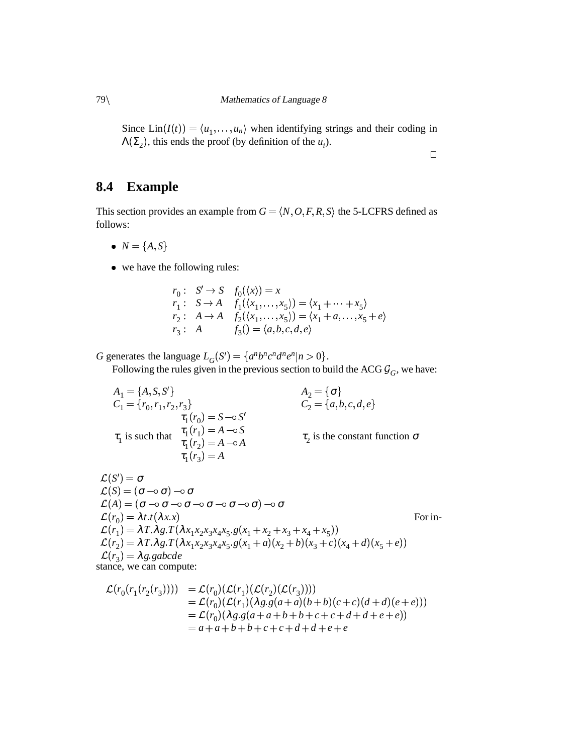Since  $\text{Lin}(I(t)) = \langle u_1, \ldots, u_n \rangle$  when identifying strings and their coding in  $\Lambda(\Sigma_2)$ , this ends the proof (by definition of the  $u_i$ ). 

 $\Box$ 

# **8.4 Example**

This section provides an example from  $G = \langle N, O, F, R, S \rangle$  the 5-LCFRS defined as follows:

- $N = \{A, S\}$
- we have the following rules:

$$
r_0: S' \to S \quad f_0(\langle x \rangle) = x
$$
  
\n
$$
r_1: S \to A \quad f_1(\langle x_1, \ldots, x_5 \rangle) = \langle x_1 + \cdots + x_5 \rangle
$$
  
\n
$$
r_2: A \to A \quad f_2(\langle x_1, \ldots, x_5 \rangle) = \langle x_1 + a, \ldots, x_5 + e \rangle
$$
  
\n
$$
r_3: A \quad f_3() = \langle a, b, c, d, e \rangle
$$

*G* generates the language  $L_G(S') = \{a^n b^n c^n d^n e^n | n > 0\}$ .

Following the rules given in the previous section to build the ACG  $\mathcal{G}_G$ , we have:

$$
A_1 = \{A, S, S'\}
$$
  
\n
$$
C_1 = \{r_0, r_1, r_2, r_3\}
$$
  
\n
$$
\tau_1(r_0) = S - \circ S'
$$
  
\n
$$
\tau_1(r_1) = A - \circ S
$$
  
\n
$$
\tau_1(r_2) = A - \circ A
$$
  
\n
$$
\tau_1(r_3) = A
$$
  
\n
$$
A_2 = \{\sigma\}
$$
  
\n
$$
C_2 = \{a, b, c, d, e\}
$$
  
\n
$$
\tau_2
$$
 is the constant function

 $\tau_2$  is the constant function  $\sigma$ 

 $\mathcal{L}(S')=\boldsymbol{\sigma}$  $\mathcal{L}(S) = (\sigma \multimap \sigma) \multimap \sigma$  $\mathcal{L}(A) = (\sigma$   $\neg\circ\sigma$   $\neg\circ\sigma$   $\neg\circ\sigma$   $\neg\circ\sigma$   $\neg\circ\sigma)$   $\neg\circ\sigma$  $\mathcal{L}(r_0) = \lambda t \cdot t(\lambda x \cdot x)$  $\mathcal{L}(r_1) = \lambda T \cdot \lambda g \cdot T(\lambda x_1 x_2 x_3 x_4 x_5 \cdot g(x_1 + x_2 + x_3 + x_4 + x_5)) \ \mathcal{L}(r_2) = \lambda T \cdot \lambda g \cdot T(\lambda x_1 x_2 x_3 x_4 x_5 \cdot g(x_1 + a)(x_2 + b)(x_3 + c)(x_4 + d)(x_5 + e))$  $\mathcal{L}(r_3) = \lambda g$  gabcde For in-

stance, we can compute:

$$
\mathcal{L}(r_0(r_1(r_2(r_3)))) = \mathcal{L}(r_0)(\mathcal{L}(r_1)(\mathcal{L}(r_2)(\mathcal{L}(r_3))))
$$
  
\n=  $\mathcal{L}(r_0)(\mathcal{L}(r_1)(\lambda g.g(a+a)(b+b)(c+c)(d+d)(e+e)))$   
\n=  $\mathcal{L}(r_0)(\lambda g.g(a+a+b+b+c+c+d+d+e+e))$   
\n=  $a+a+b+b+c+c+d+d+e+e$